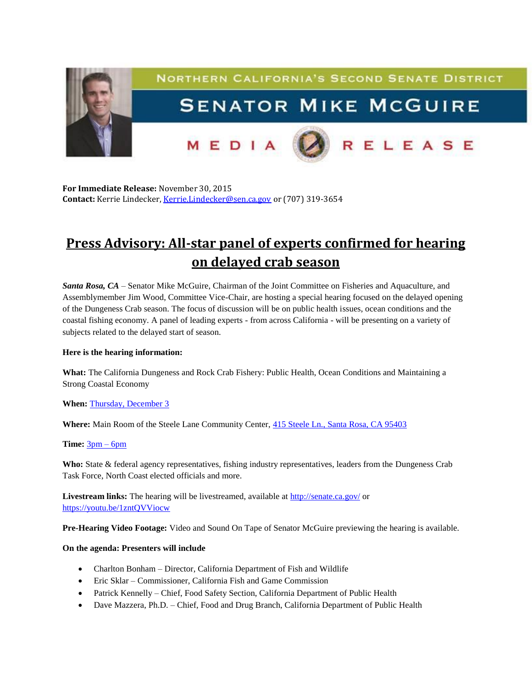

**For Immediate Release:** November 30, 2015 **Contact:** Kerrie Lindecker, [Kerrie.Lindecker@sen.ca.gov](mailto:Kerrie.Lindecker@sen.ca.gov) or (707) 319-3654

# **Press Advisory: All-star panel of experts confirmed for hearing on delayed crab season**

*Santa Rosa, CA* – Senator Mike McGuire, Chairman of the Joint Committee on Fisheries and Aquaculture, and Assemblymember Jim Wood, Committee Vice-Chair, are hosting a special hearing focused on the delayed opening of the Dungeness Crab season. The focus of discussion will be on public health issues, ocean conditions and the coastal fishing economy. A panel of leading experts - from across California - will be presenting on a variety of subjects related to the delayed start of season.

# **Here is the hearing information:**

**What:** The California Dungeness and Rock Crab Fishery: Public Health, Ocean Conditions and Maintaining a Strong Coastal Economy

# **When:** [Thursday, December 3](x-apple-data-detectors://5/)

**Where:** Main Room of the Steele Lane Community Center, [415 Steele Ln., Santa Rosa, CA 95403](x-apple-data-detectors://6/)

### **Time:** [3pm –](x-apple-data-detectors://7/) 6pm

**Who:** State & federal agency representatives, fishing industry representatives, leaders from the Dungeness Crab Task Force, North Coast elected officials and more.

Livestream links: The hearing will be livestreamed, available at <http://senate.ca.gov/> or <https://youtu.be/1zntQVViocw>

**Pre-Hearing Video Footage:** Video and Sound On Tape of Senator McGuire previewing the hearing is available.

### **On the agenda: Presenters will include**

- Charlton Bonham Director, California Department of Fish and Wildlife
- Eric Sklar Commissioner, California Fish and Game Commission
- Patrick Kennelly Chief, Food Safety Section, California Department of Public Health
- Dave Mazzera, Ph.D. Chief, Food and Drug Branch, California Department of Public Health